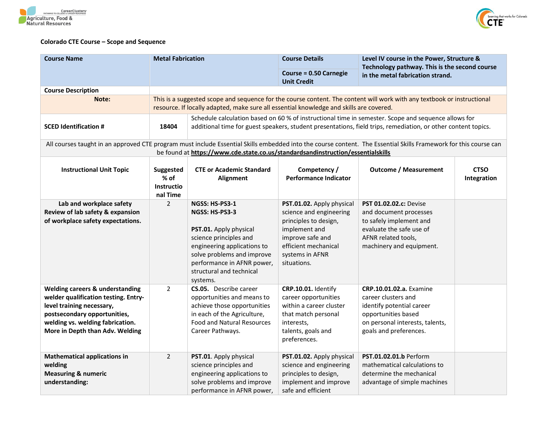



## **Colorado CTE Course – Scope and Sequence**

| <b>Course Name</b>                                                                                                                                                                                                                                  | <b>Metal Fabrication</b>                                                                                                                                                                                                      |                                                                                                                                                                                                                         | <b>Course Details</b>                                                                                                                                                        | Level IV course in the Power, Structure &<br>Technology pathway. This is the second course<br>in the metal fabrication strand.                                         |                            |  |  |
|-----------------------------------------------------------------------------------------------------------------------------------------------------------------------------------------------------------------------------------------------------|-------------------------------------------------------------------------------------------------------------------------------------------------------------------------------------------------------------------------------|-------------------------------------------------------------------------------------------------------------------------------------------------------------------------------------------------------------------------|------------------------------------------------------------------------------------------------------------------------------------------------------------------------------|------------------------------------------------------------------------------------------------------------------------------------------------------------------------|----------------------------|--|--|
|                                                                                                                                                                                                                                                     |                                                                                                                                                                                                                               |                                                                                                                                                                                                                         | <b>Course = 0.50 Carnegie</b><br><b>Unit Credit</b>                                                                                                                          |                                                                                                                                                                        |                            |  |  |
| <b>Course Description</b>                                                                                                                                                                                                                           |                                                                                                                                                                                                                               |                                                                                                                                                                                                                         |                                                                                                                                                                              |                                                                                                                                                                        |                            |  |  |
| Note:                                                                                                                                                                                                                                               | This is a suggested scope and sequence for the course content. The content will work with any textbook or instructional<br>resource. If locally adapted, make sure all essential knowledge and skills are covered.            |                                                                                                                                                                                                                         |                                                                                                                                                                              |                                                                                                                                                                        |                            |  |  |
| <b>SCED Identification #</b>                                                                                                                                                                                                                        | Schedule calculation based on 60 % of instructional time in semester. Scope and sequence allows for<br>additional time for guest speakers, student presentations, field trips, remediation, or other content topics.<br>18404 |                                                                                                                                                                                                                         |                                                                                                                                                                              |                                                                                                                                                                        |                            |  |  |
| All courses taught in an approved CTE program must include Essential Skills embedded into the course content. The Essential Skills Framework for this course can<br>be found at https://www.cde.state.co.us/standardsandinstruction/essentialskills |                                                                                                                                                                                                                               |                                                                                                                                                                                                                         |                                                                                                                                                                              |                                                                                                                                                                        |                            |  |  |
| <b>Instructional Unit Topic</b>                                                                                                                                                                                                                     | Suggested<br>$%$ of<br><b>Instructio</b><br>nal Time                                                                                                                                                                          | <b>CTE or Academic Standard</b><br><b>Alignment</b>                                                                                                                                                                     | Competency /<br><b>Performance Indicator</b>                                                                                                                                 | <b>Outcome / Measurement</b>                                                                                                                                           | <b>CTSO</b><br>Integration |  |  |
| Lab and workplace safety<br>Review of lab safety & expansion<br>of workplace safety expectations.                                                                                                                                                   | $\overline{2}$                                                                                                                                                                                                                | NGSS: HS-PS3-1<br>NGSS: HS-PS3-3<br>PST.01. Apply physical<br>science principles and<br>engineering applications to<br>solve problems and improve<br>performance in AFNR power,<br>structural and technical<br>systems. | PST.01.02. Apply physical<br>science and engineering<br>principles to design,<br>implement and<br>improve safe and<br>efficient mechanical<br>systems in AFNR<br>situations. | <b>PST 01.02.02.c: Devise</b><br>and document processes<br>to safely implement and<br>evaluate the safe use of<br>AFNR related tools,<br>machinery and equipment.      |                            |  |  |
| Welding careers & understanding<br>welder qualification testing. Entry-<br>level training necessary,<br>postsecondary opportunities,<br>welding vs. welding fabrication.<br>More in Depth than Adv. Welding                                         | $\overline{2}$                                                                                                                                                                                                                | CS.05. Describe career<br>opportunities and means to<br>achieve those opportunities<br>in each of the Agriculture,<br><b>Food and Natural Resources</b><br>Career Pathways.                                             | CRP.10.01. Identify<br>career opportunities<br>within a career cluster<br>that match personal<br>interests,<br>talents, goals and<br>preferences.                            | <b>CRP.10.01.02.a.</b> Examine<br>career clusters and<br>identify potential career<br>opportunities based<br>on personal interests, talents,<br>goals and preferences. |                            |  |  |
| <b>Mathematical applications in</b><br>welding<br><b>Measuring &amp; numeric</b><br>understanding:                                                                                                                                                  | $\overline{2}$                                                                                                                                                                                                                | PST.01. Apply physical<br>science principles and<br>engineering applications to<br>solve problems and improve<br>performance in AFNR power,                                                                             | PST.01.02. Apply physical<br>science and engineering<br>principles to design,<br>implement and improve<br>safe and efficient                                                 | PST.01.02.01.b Perform<br>mathematical calculations to<br>determine the mechanical<br>advantage of simple machines                                                     |                            |  |  |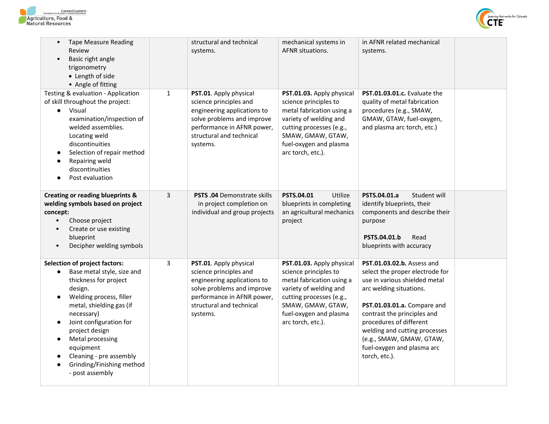



| <b>Tape Measure Reading</b><br>Review<br>Basic right angle<br>$\bullet$<br>trigonometry<br>• Length of side<br>• Angle of fitting                                                                                                                                                                                                                                           |              | structural and technical<br>systems.                                                                                                                                                | mechanical systems in<br><b>AFNR</b> situations.                                                                                                                                                          | in AFNR related mechanical<br>systems.                                                                                                                                                                                                                                                                                         |  |
|-----------------------------------------------------------------------------------------------------------------------------------------------------------------------------------------------------------------------------------------------------------------------------------------------------------------------------------------------------------------------------|--------------|-------------------------------------------------------------------------------------------------------------------------------------------------------------------------------------|-----------------------------------------------------------------------------------------------------------------------------------------------------------------------------------------------------------|--------------------------------------------------------------------------------------------------------------------------------------------------------------------------------------------------------------------------------------------------------------------------------------------------------------------------------|--|
| Testing & evaluation - Application<br>of skill throughout the project:<br>• Visual<br>examination/inspection of<br>welded assemblies.<br>Locating weld<br>discontinuities<br>Selection of repair method<br>Repairing weld<br>discontinuities<br>Post evaluation                                                                                                             | $\mathbf{1}$ | PST.01. Apply physical<br>science principles and<br>engineering applications to<br>solve problems and improve<br>performance in AFNR power,<br>structural and technical<br>systems. | PST.01.03. Apply physical<br>science principles to<br>metal fabrication using a<br>variety of welding and<br>cutting processes (e.g.,<br>SMAW, GMAW, GTAW,<br>fuel-oxygen and plasma<br>arc torch, etc.). | PST.01.03.01.c. Evaluate the<br>quality of metal fabrication<br>procedures (e.g., SMAW,<br>GMAW, GTAW, fuel-oxygen,<br>and plasma arc torch, etc.)                                                                                                                                                                             |  |
| <b>Creating or reading blueprints &amp;</b><br>welding symbols based on project<br>concept:<br>Choose project<br>Create or use existing<br>blueprint<br>Decipher welding symbols                                                                                                                                                                                            | 3            | <b>PSTS .04 Demonstrate skills</b><br>in project completion on<br>individual and group projects                                                                                     | Utilize<br><b>PSTS.04.01</b><br>blueprints in completing<br>an agricultural mechanics<br>project                                                                                                          | Student will<br>PSTS.04.01.a<br>identify blueprints, their<br>components and describe their<br>purpose<br>PSTS.04.01.b<br>Read<br>blueprints with accuracy                                                                                                                                                                     |  |
| <b>Selection of project factors:</b><br>Base metal style, size and<br>$\bullet$<br>thickness for project<br>design.<br>Welding process, filler<br>$\bullet$<br>metal, shielding gas (if<br>necessary)<br>Joint configuration for<br>$\bullet$<br>project design<br>Metal processing<br>equipment<br>Cleaning - pre assembly<br>Grinding/Finishing method<br>- post assembly | 3            | PST.01. Apply physical<br>science principles and<br>engineering applications to<br>solve problems and improve<br>performance in AFNR power,<br>structural and technical<br>systems. | PST.01.03. Apply physical<br>science principles to<br>metal fabrication using a<br>variety of welding and<br>cutting processes (e.g.,<br>SMAW, GMAW, GTAW,<br>fuel-oxygen and plasma<br>arc torch, etc.). | PST.01.03.02.b. Assess and<br>select the proper electrode for<br>use in various shielded metal<br>arc welding situations.<br>PST.01.03.01.a. Compare and<br>contrast the principles and<br>procedures of different<br>welding and cutting processes<br>(e.g., SMAW, GMAW, GTAW,<br>fuel-oxygen and plasma arc<br>torch, etc.). |  |